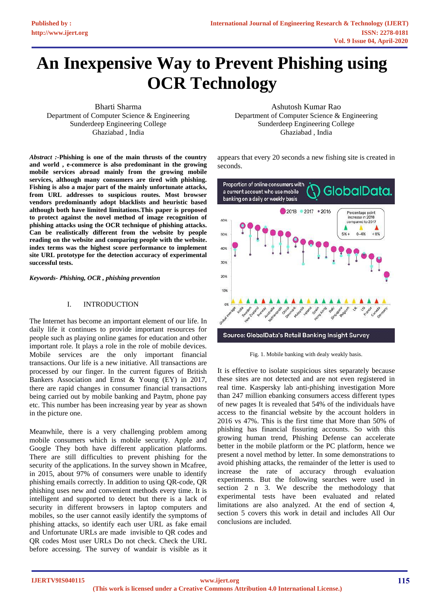# **An Inexpensive Way to Prevent Phishing using OCR Technology**

Bharti Sharma Department of Computer Science & Engineering Sunderdeep Engineering College Ghaziabad , India

*Abstract :***-Phishing is one of the main thrusts of the country and world , e-commerce is also predominant in the growing mobile services abroad mainly from the growing mobile services, although many consumers are tired with phishing. Fishing is also a major part of the mainly unfortunate attacks, from URL addresses to suspicious routes. Most browser vendors predominantly adopt blacklists and heuristic based although both have limited limitations.This paper is proposed to protect against the novel method of image recognition of phishing attacks using the OCR technique of phishing attacks. Can be realistically different from the website by people reading on the website and comparing people with the website. index terms was the highest score performance to implement site URL prototype for the detection accuracy of experimental successful tests.** 

*Keywords- Phishing, OCR , phishing prevention*

#### I. INTRODUCTION

The Internet has become an important element of our life. In daily life it continues to provide important resources for people such as playing online games for education and other important role. It plays a role in the role of mobile devices. Mobile services are the only important financial transactions. Our life is a new initiative. All transactions are processed by our finger. In the current figures of British Bankers Association and Ernst & Young (EY) in 2017, there are rapid changes in consumer financial transactions being carried out by mobile banking and Paytm, phone pay etc. This number has been increasing year by year as shown in the picture one.

Meanwhile, there is a very challenging problem among mobile consumers which is mobile security. Apple and Google They both have different application platforms. There are still difficulties to prevent phishing for the security of the applications. In the survey shown in Mcafree, in 2015, about 97% of consumers were unable to identify phishing emails correctly. In addition to using QR-code, QR phishing uses new and convenient methods every time. It is intelligent and supported to detect but there is a lack of security in different browsers in laptop computers and mobiles, so the user cannot easily identify the symptoms of phishing attacks, so identify each user URL as fake email and Unfortunate URLs are made invisible to QR codes and QR codes Most user URLs Do not check. Check the URL before accessing. The survey of wandair is visible as it

Ashutosh Kumar Rao Department of Computer Science & Engineering Sunderdeep Engineering College Ghaziabad , India

appears that every 20 seconds a new fishing site is created in seconds.



Fig. 1. Mobile banking with dealy weakly basis.

It is effective to isolate suspicious sites separately because these sites are not detected and are not even registered in real time. Kaspersky lab anti-phishing investigation More than 247 million ebanking consumers access different types of new pages It is revealed that 54% of the individuals have access to the financial website by the account holders in 2016 vs 47%. This is the first time that More than 50% of phishing has financial fissuring accounts. So with this growing human trend, Phishing Defense can accelerate better in the mobile platform or the PC platform, hence we present a novel method by letter. In some demonstrations to avoid phishing attacks, the remainder of the letter is used to increase the rate of accuracy through evaluation experiments. But the following searches were used in section 2 n 3. We describe the methodology that experimental tests have been evaluated and related limitations are also analyzed. At the end of section 4, section 5 covers this work in detail and includes All Our conclusions are included.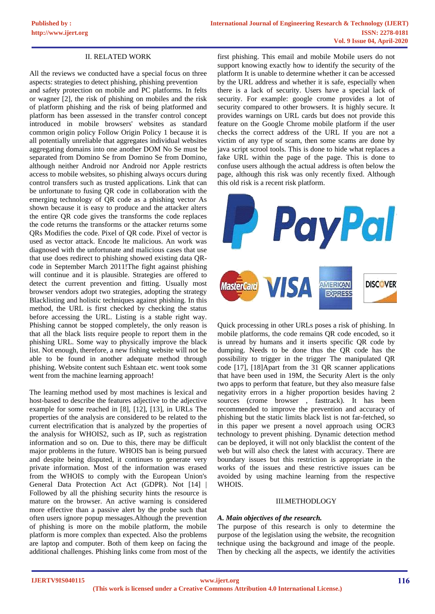# II. RELATED WORK

All the reviews we conducted have a special focus on three aspects: strategies to detect phishing, phishing prevention

and safety protection on mobile and PC platforms. In felts or wagner [2], the risk of phishing on mobiles and the risk of platform phishing and the risk of being platformed and platform has been assessed in the transfer control concept introduced in mobile browsers' websites as standard common origin policy Follow Origin Policy 1 because it is all potentially unreliable that aggregates individual websites aggregating domains into one another DOM No Se must be separated from Domino Se from Domino Se from Domino. although neither Android nor Android nor Apple restricts access to mobile websites, so phishing always occurs during control transfers such as trusted applications. Link that can be unfortunate to fusing QR code in collaboration with the emerging technology of QR code as a phishing vector As shown because it is easy to produce and the attacker alters the entire QR code gives the transforms the code replaces the code returns the transforms or the attacker returns some QRs Modifies the code. Pixel of QR code. Pixel of vector is used as vector attack. Encode lte malicious. An work was diagnosed with the unfortunate and malicious cases that use that use does redirect to phishing showed existing data QRcode in September March 2011!The fight against phishing will continue and it is plausible. Strategies are offered to detect the current prevention and fitting. Usually most browser vendors adopt two strategies, adopting the strategy Blacklisting and holistic techniques against phishing. In this method, the URL is first checked by checking the status before accessing the URL. Listing is a stable right way. Phishing cannot be stopped completely, the only reason is that all the black lists require people to report them in the phishing URL. Some way to physically improve the black list. Not enough, therefore, a new fishing website will not be able to be found in another adequate method through phishing. Website content such Eshtaan etc. went took some went from the machine learning approach!

The learning method used by most machines is lexical and host-based to describe the features adjective to the adjective example for some reached in [8], [12], [13], in URLs The properties of the analysis are considered to be related to the current electrification that is analyzed by the properties of the analysis for WHOIS2, such as IP, such as registration information and so on. Due to this, there may be difficult major problems in the future. WHOIS ban is being pursued and despite being disputed, it continues to generate very private information. Most of the information was erased from the WHOIS to comply with the European Union's General Data Protection Act Act (GDPR). Not [14] | Followed by all the phishing security hints the resource is mature on the browser. An active warning is considered more effective than a passive alert by the probe such that often users ignore popup messages.Although the prevention of phishing is more on the mobile platform, the mobile platform is more complex than expected. Also the problems are laptop and computer. Both of them keep on facing the additional challenges. Phishing links come from most of the

first phishing. This email and mobile Mobile users do not support knowing exactly how to identify the security of the platform It is unable to determine whether it can be accessed by the URL address and whether it is safe, especially when there is a lack of security. Users have a special lack of security. For example: google crome provides a lot of security compared to other browsers. It is highly secure. It provides warnings on URL cards but does not provide this feature on the Google Chrome mobile platform if the user checks the correct address of the URL If you are not a victim of any type of scam, then some scams are done by java script scrool tools. This is done to hide what replaces a fake URL within the page of the page. This is done to confuse users although the actual address is often below the page, although this risk was only recently fixed. Although this old risk is a recent risk platform.



Quick processing in other URLs poses a risk of phishing. In mobile platforms, the code remains QR code encoded, so it is unread by humans and it inserts specific QR code by dumping. Needs to be done thus the QR code has the possibility to trigger in the trigger The manipulated QR code [17], [18]Apart from the 31 QR scanner applications that have been used in 19M, the Security Alert is the only two apps to perform that feature, but they also measure false negativity errors in a higher proportion besides having 2 sources (crome browser , fasttrack). It has been recommended to improve the prevention and accuracy of phishing but the static limits black list is not far-fetched, so in this paper we present a novel approach using OCR3 technology to prevent phishing. Dynamic detection method can be deployed, it will not only blacklist the content of the web but will also check the latest with accuracy. There are boundary issues but this restriction is appropriate in the works of the issues and these restrictive issues can be avoided by using machine learning from the respective WHOIS.

#### III.METHODLOGY

#### *A. Main objectives of the research.*

The purpose of this research is only to determine the purpose of the legislation using the website, the recognition technique using the background and image of the people. Then by checking all the aspects, we identify the activities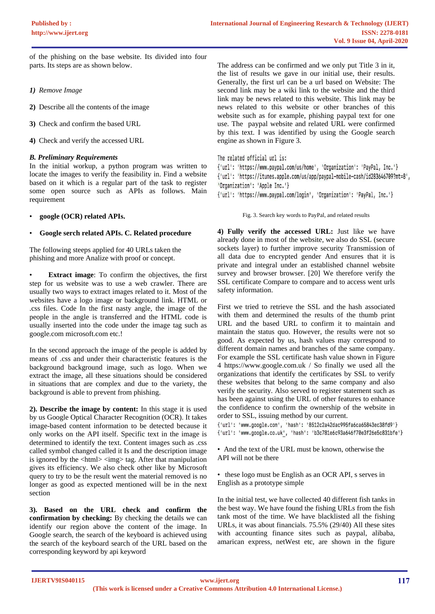of the phishing on the base website. Its divided into four parts. Its steps are as shown below.

- *1) Remove Image*
- **2)** Describe all the contents of the image
- **3)** Check and confirm the based URL
- **4)** Check and verify the accessed URL

# *B. Preliminary Requirements*

In the initial workup, a python program was written to locate the images to verify the feasibility in. Find a website based on it which is a regular part of the task to register some open source such as APIs as follows. Main requirement

• **google (OCR) related APIs.**

# • **Google serch related APIs. C. Related procedure**

The following steeps applied for 40 URLs taken the phishing and more Analize with proof or concept.

**Extract image:** To confirm the objectives, the first step for us website was to use a web crawler. There are usually two ways to extract images related to it. Most of the websites have a logo image or background link. HTML or .css files. Code In the first nasty angle, the image of the people in the angle is transferred and the HTML code is usually inserted into the code under the image tag such as google.com microsoft.com etc.!

In the second approach the image of the people is added by means of .css and under their characteristic features is the background background image, such as logo. When we extract the image, all these situations should be considered in situations that are complex and due to the variety, the background is able to prevent from phishing.

**2). Describe the image by content:** In this stage it is used by us Google Optical Character Recognition (OCR). It takes image-based content information to be detected because it only works on the API itself. Specific text in the image is determined to identify the text. Content images such as .css called symbol changed called it Is and the description image is ignored by the  $\langle$ html $>$  $\langle$ img $>$ tag. After that manipulation gives its efficiency. We also check other like by Microsoft query to try to be the result went the material removed is no longer as good as expected mentioned will be in the next section

**3). Based on the URL check and confirm the confirmation by checking:** By checking the details we can identify our region above the content of the image. In Google search, the search of the keyboard is achieved using the search of the keyboard search of the URL based on the corresponding keyword by api keyword

The address can be confirmed and we only put Title 3 in it, the list of results we gave in our initial use, their results. Generally, the first url can be a url based on Website: The second link may be a wiki link to the website and the third link may be news related to this website. This link may be news related to this website or other branches of this website such as for example, phishing paypal text for one use. The paypal website and related URL were confirmed by this text. I was identified by using the Google search engine as shown in Figure 3.

```
The related official url is:
```
{'url': 'https://www.paypal.com/us/home', 'Organization': 'PayPal, Inc.'} {'url': 'https://itunes.apple.com/us/app/paypal-mobile-cash/id283646709?mt=8', 'Organization': 'Apple Inc.'} {'url': 'https://www.paypal.com/login', 'Organization': 'PayPal, Inc.'}

Fig. 3. Search key words to PayPal, and related results

**4) Fully verify the accessed URL:** Just like we have already done in most of the website, we also do SSL (secure sockets layer) to further improve security Transmission of all data due to encrypted gender And ensures that it is private and integral under an established channel website survey and browser browser. [20] We therefore verify the SSL certificate Compare to compare and to access went urls safety information.

First we tried to retrieve the SSL and the hash associated with them and determined the results of the thumb print URL and the based URL to confirm it to maintain and maintain the status quo. However, the results were not so good. As expected by us, hash values may correspond to different domain names and branches of the same company. For example the SSL certificate hash value shown in Figure 4 https://www.google.com.uk / So finally we used all the organizations that identify the certificates by SSL to verify these websites that belong to the same company and also verify the security. Also served to register statement such as has been against using the URL of other features to enhance the confidence to confirm the ownership of the website in order to SSL, issuing method by our current.

{'url': 'www.google.com', 'hash': '8512c2a42dac995fa6ca65843ec38fd9'} {'url': 'www.google.co.uk', 'hash': 'b3c781e6c93a646f70e3f26e5c831bfe'}

• And the text of the URL must be known, otherwise the API will not be there

• these logo must be English as an OCR API, s serves in English as a prototype simple

In the initial test, we have collected 40 different fish tanks in the best way. We have found the fishing URLs from the fish tank most of the time. We have blacklisted all the fishing URLs, it was about financials. 75.5% (29/40) All these sites with accounting finance sites such as paypal, alibaba, amarican express, netWest etc, are shown in the figure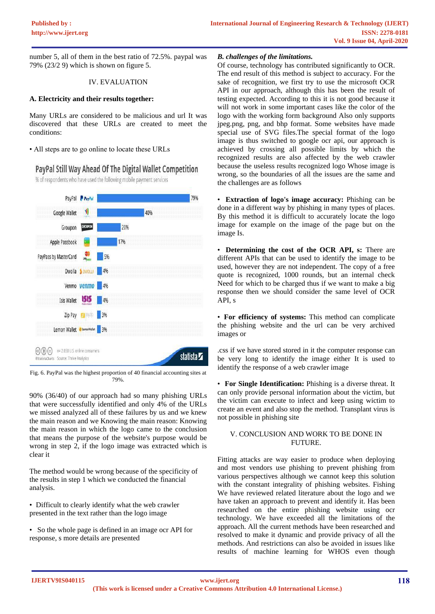number 5, all of them in the best ratio of 72.5%. paypal was 79% (23/2 9) which is shown on figure 5.

#### IV. EVALUATION

#### **A. Electricity and their results together:**

Many URLs are considered to be malicious and url It was discovered that these URLs are created to meet the conditions:

• All steps are to go online to locate these URLs

# PayPal Still Way Ahead Of The Digital Wallet Competition

% of respondents who have used the following mobile payment services



Fig. 6. PayPal was the highest proportion of 40 financial accounting sites at 79%.

90% (36/40) of our approach had so many phishing URLs that were successfully identified and only 4% of the URLs we missed analyzed all of these failures by us and we knew the main reason and we Knowing the main reason: Knowing the main reason in which the logo came to the conclusion that means the purpose of the website's purpose would be wrong in step 2, if the logo image was extracted which is clear it

The method would be wrong because of the specificity of the results in step 1 which we conducted the financial analysis.

- Difficult to clearly identify what the web crawler presented in the text rather than the logo image
- So the whole page is defined in an image ocr API for response, s more details are presented

#### *B. challenges of the limitations.*

Of course, technology has contributed significantly to OCR. The end result of this method is subject to accuracy. For the sake of recognition, we first try to use the microsoft OCR API in our approach, although this has been the result of testing expected. According to this it is not good because it will not work in some important cases like the color of the logo with the working form background Also only supports jpeg.png, png, and bhp format. Some websites have made special use of SVG files.The special format of the logo image is thus switched to google ocr api, our approach is achieved by crossing all possible limits by which the recognized results are also affected by the web crawler because the useless results recognized logo Whose image is wrong, so the boundaries of all the issues are the same and the challenges are as follows

• **Extraction of logo's image accuracy:** Phishing can be done in a different way by phishing in many types of places. By this method it is difficult to accurately locate the logo image for example on the image of the page but on the image Is.

• **Determining the cost of the OCR API, s:** There are different APIs that can be used to identify the image to be used, however they are not independent. The copy of a free quote is recognized, 1000 rounds, but an internal check Need for which to be charged thus if we want to make a big response then we should consider the same level of OCR API, s

• **For efficiency of systems:** This method can complicate the phishing website and the url can be very archived images or

.css if we have stored stored in it the computer response can be very long to identify the image either It is used to identify the response of a web crawler image

• **For Single Identification:** Phishing is a diverse threat. It can only provide personal information about the victim, but the victim can execute to infect and keep using wictim to create an event and also stop the method. Transplant virus is not possible in phishing site

# V. CONCLUSION AND WORK TO BE DONE IN FUTURE.

Fitting attacks are way easier to produce when deploying and most vendors use phishing to prevent phishing from various perspectives although we cannot keep this solution with the constant integrality of phishing websites. Fishing We have reviewed related literature about the logo and we have taken an approach to prevent and identify it. Has been researched on the entire phishing website using ocr technology. We have exceeded all the limitations of the approach. All the current methods have been researched and resolved to make it dynamic and provide privacy of all the methods. And restrictions can also be avoided in issues like results of machine learning for WHOS even though